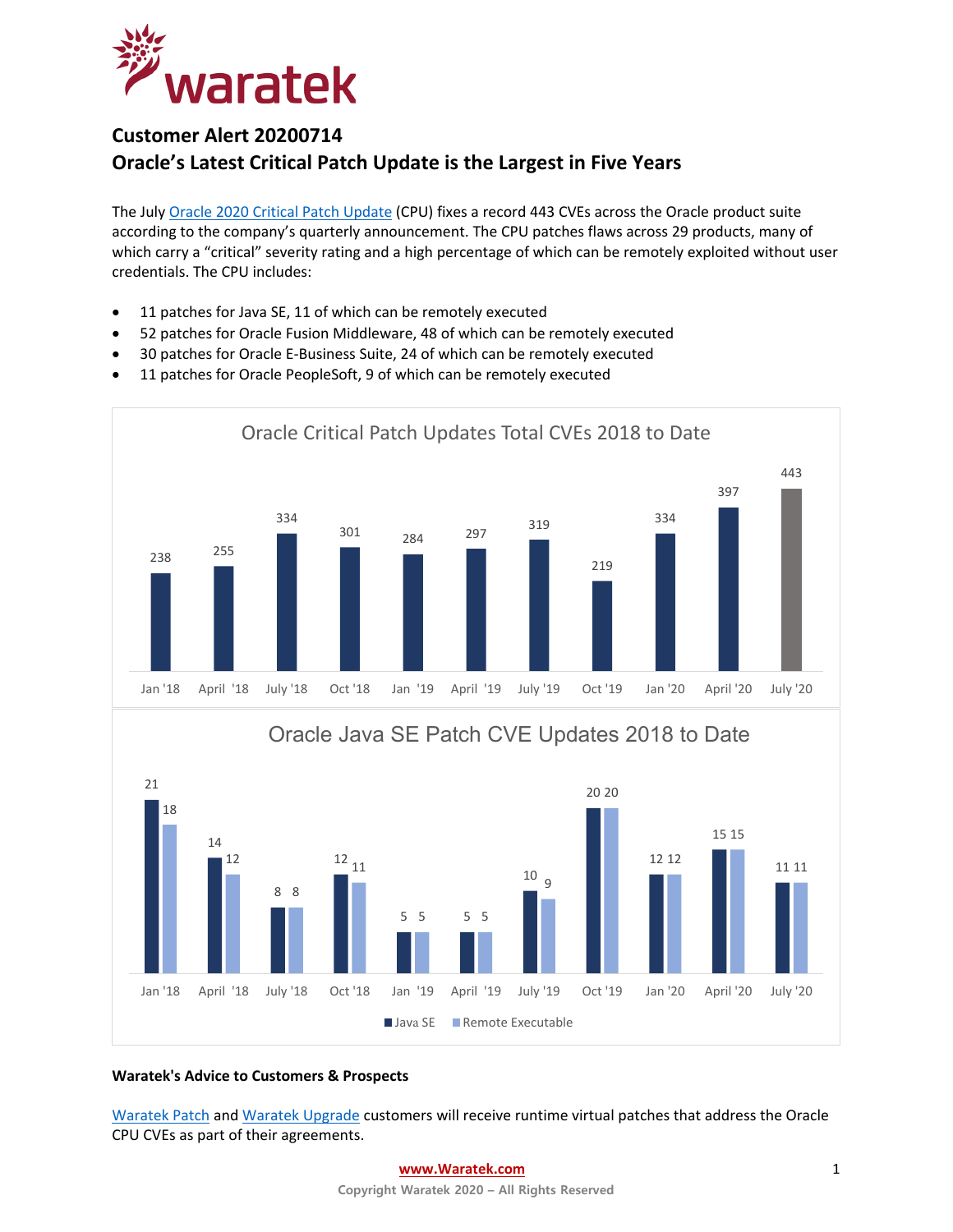

# **Customer Alert 20200714 Oracle's Latest Critical Patch Update is the Largest in Five Years**

The July Oracle 2020 [Critical Patch Update](https://www.oracle.com/security-alerts/cpujul2020.html) (CPU) fixes a record 443 CVEs across the Oracle product suite according to the company's quarterly announcement. The CPU patches flaws across 29 products, many of which carry a "critical" severity rating and a high percentage of which can be remotely exploited without user credentials. The CPU includes:

- 11 patches for Java SE, 11 of which can be remotely executed
- 52 patches for Oracle Fusion Middleware, 48 of which can be remotely executed
- 30 patches for Oracle E-Business Suite, 24 of which can be remotely executed
- 11 patches for Oracle PeopleSoft, 9 of which can be remotely executed



### **Waratek's Advice to Customers & Prospects**

[Waratek Patch](https://www.waratek.com/virtual-patching/) an[d Waratek Upgrade](https://www.waratek.com/legacy-platform/) customers will receive runtime virtual patches that address the Oracle CPU CVEs as part of their agreements.